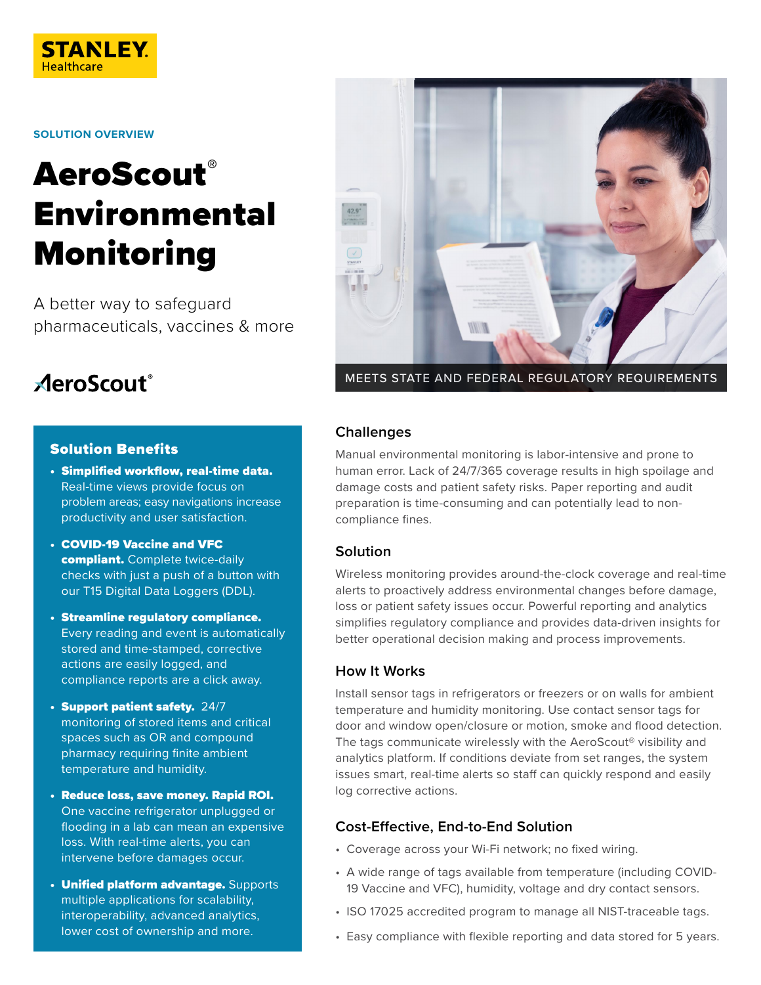

**SOLUTION OVERVIEW**

# **AeroScout®** Environmental Monitoring

A better way to safeguard pharmaceuticals, vaccines & more

## **AeroScout**®

#### Solution Benefits

- Simplified workflow, real-time data. Real-time views provide focus on problem areas; easy navigations increase productivity and user satisfaction.
- COVID-19 Vaccine and VFC compliant. Complete twice-daily checks with just a push of a button with our T15 Digital Data Loggers (DDL).
- Streamline regulatory compliance. Every reading and event is automatically stored and time-stamped, corrective actions are easily logged, and compliance reports are a click away.
- Support patient safety. 24/7 monitoring of stored items and critical spaces such as OR and compound pharmacy requiring finite ambient temperature and humidity.
- Reduce loss, save money. Rapid ROI. One vaccine refrigerator unplugged or flooding in a lab can mean an expensive loss. With real-time alerts, you can intervene before damages occur.
- **Unified platform advantage.** Supports multiple applications for scalability, interoperability, advanced analytics, lower cost of ownership and more.



MEETS STATE AND FEDERAL REGULATORY REQUIREMENTS

#### **Challenges**

Manual environmental monitoring is labor-intensive and prone to human error. Lack of 24/7/365 coverage results in high spoilage and damage costs and patient safety risks. Paper reporting and audit preparation is time-consuming and can potentially lead to noncompliance fines.

#### **Solution**

Wireless monitoring provides around-the-clock coverage and real-time alerts to proactively address environmental changes before damage, loss or patient safety issues occur. Powerful reporting and analytics simplifies regulatory compliance and provides data-driven insights for better operational decision making and process improvements.

#### **How It Works**

Install sensor tags in refrigerators or freezers or on walls for ambient temperature and humidity monitoring. Use contact sensor tags for door and window open/closure or motion, smoke and flood detection. The tags communicate wirelessly with the AeroScout® visibility and analytics platform. If conditions deviate from set ranges, the system issues smart, real-time alerts so staff can quickly respond and easily log corrective actions.

#### **Cost-Effective, End-to-End Solution**

- Coverage across your Wi-Fi network; no fixed wiring.
- A wide range of tags available from temperature (including COVID-19 Vaccine and VFC), humidity, voltage and dry contact sensors.
- ISO 17025 accredited program to manage all NIST-traceable tags.
- Easy compliance with flexible reporting and data stored for 5 years.